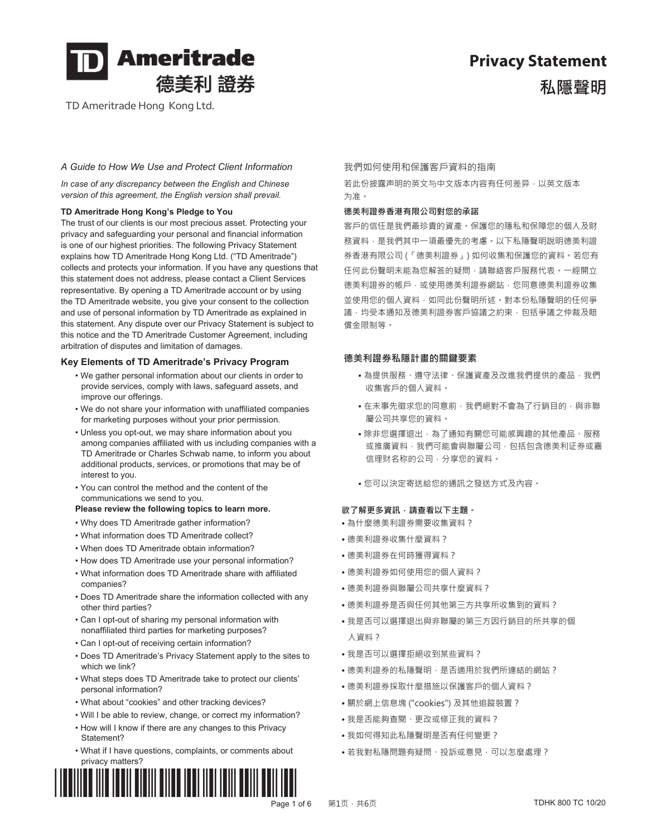

TD Ameritrade Hong Kong Ltd.

# **Privacy Statement**  私隱韾明

#### *A Guide to How We Use and Protect Client Information*

*In case of any discrepancy between the English and Chinese version of this agreement, the English version shall prevail.*

#### **TD Ameritrade Hong Kong's Pledge to You**

The trust of our clients is our most precious asset. Protecting your privacy and safeguarding your personal and financial information is one of our highest priorities. The following Privacy Statement explains how TD Ameritrade Hong Kong Ltd. ("TD Ameritrade") collects and protects your information. If you have any questions that this statement does not address, please contact a Client Services representative. By opening a TD Ameritrade account or by using the TD Ameritrade website, you give your consent to the collection and use of personal information by TD Ameritrade as explained in this statement. Any dispute over our Privacy Statement is subject to this notice and the TD Ameritrade Customer Agreement, including arbitration of disputes and limitation of damages.

#### **Key Elements of TD Ameritrade's Privacy Program**

- We gather personal information about our clients in order to provide services, comply with laws, safeguard assets, and improve our offerings.
- We do not share your information with unaffiliated companies for marketing purposes without your prior permission.
- Unless you opt-out, we may share information about you among companies affiliated with us including companies with a TD Ameritrade or Charles Schwab name, to inform you about additional products, services, or promotions that may be of interest to you.
- You can control the method and the content of the communications we send to you.

#### Please review the following topics to learn more. **<br><b>2 and the set of the set of the set of the set of the set of the set of the set of the set of the set of the set of the set of the set of the set of the set of the se**

- Why does TD Ameritrade gather information?
- What information does TD Ameritrade collect?
- When does TD Ameritrade obtain information?
- How does TD Ameritrade use your personal information?
- What information does TD Ameritrade share with affiliated companies?
- Does TD Ameritrade share the information collected with any other third parties?
- Can I opt-out of sharing my personal information with nonaffiliated third parties for marketing purposes?
- Can I opt-out of receiving certain information?
- Does TD Ameritrade's Privacy Statement apply to the sites to which we link?
- What steps does TD Ameritrade take to protect our clients' personal information?
- What about "cookies" and other tracking devices?
- Will I be able to review, change, or correct my information?
- How will I know if there are any changes to this Privacy Statement?
- What if I have questions, complaints, or comments about privacy matters?



#### 我們如何使用和保護客戶資料的指南

若此份披露声明的英文与中文版本内容有任何差异,以英文版本 为准。

#### 德美利證券香港有限公司對您的承諾

客戶的信任是我們最珍貴的資產。保護您的隱私和保障您的個人及財 務資料·是我們其中一項最優先的考慮·以下私隱聲明說明德美利證 券香港有限公司(「德美利證券」)如何收集和保護您的資料。若您有 任何此份聲明未能為您解答的疑問,請聯絡客戶服務代表。一經開立 德美利證券的帳戶,或使用德美利證券網站,您同意德美利證券收集 並使用您的個人資料,如同此份聲明所述。對本份私隱聲明的任何爭 議,均受本通知及德美利證券客戶協議之約束,包括爭議之仲裁及賠 儅金限制等。

#### 德美利證券私隱計畫的關鍵要素

- ●為提供服務、遵守法律、保護資產及改進我們提供的產品,我們 收集客戶的個人資料。
- ●在未事先徵求您的同意前,我們絕對不會為了行銷目的,與非聯 屬公司共享您的資料。
- ●除非您選擇退出,為了通知有關您可能感興趣的其他產品、服務 或推廣資料,我們可能會與聯屬公司,包括包含德美利证券或嘉 信理财名称的公司,分享您的資料。
- 您可以決定寄送給您的通訊之發送方式及內容。

- •為什麼德美利證券需要收集資料?
- 德美利證券收集什麼資料?
- 德美利證券在何時獲得資料?
- 德美利證券如何使用您的個人資料?
- 德美利證券與聯屬公司共享什麼資料?
- 德美利證券是否與任何其他第三方共享所收集到的資料?
- 我是否可以選擇退出與非聯屬的第三方因行銷目的所共享的個 人資料?
- 我是否可以選擇拒絕收到某些資料?
- 德美利證券的私隱聲明, 是否適用於我們所連結的網站?
- 德美利證券採取什麼措施以保護客戶的個人資料?
- 關於網上信息塊 ("cookies") 及其他追蹤裝置?
- 我是否能夠查閱、更改或修正我的資料?
- 我如何得知此私隱聲明是否有任何變更?
- •若我對私隱問題有疑問、投訴或意見,可以怎麼處理?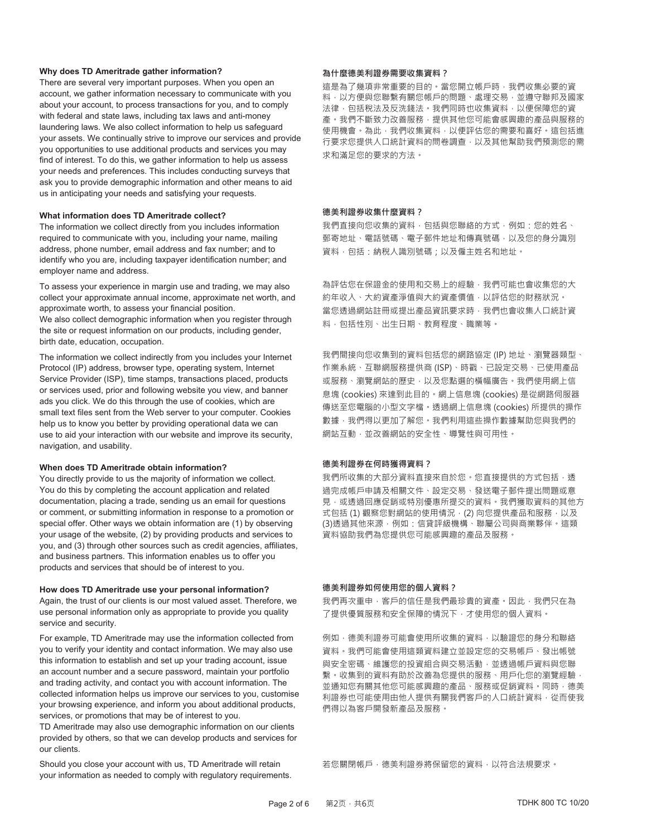#### **Why does TD Ameritrade gather information?**

There are several very important purposes. When you open an account, we gather information necessary to communicate with you about your account, to process transactions for you, and to comply with federal and state laws, including tax laws and anti-money laundering laws. We also collect information to help us safeguard your assets. We continually strive to improve our services and provide you opportunities to use additional products and services you may find of interest. To do this, we gather information to help us assess your needs and preferences. This includes conducting surveys that ask you to provide demographic information and other means to aid us in anticipating your needs and satisfying your requests.

#### **What information does TD Ameritrade collect?**

The information we collect directly from you includes information required to communicate with you, including your name, mailing address, phone number, email address and fax number; and to identify who you are, including taxpayer identification number; and employer name and address.

To assess your experience in margin use and trading, we may also collect your approximate annual income, approximate net worth, and approximate worth, to assess your financial position. We also collect demographic information when you register through

the site or request information on our products, including gender, birth date, education, occupation.

The information we collect indirectly from you includes your Internet Protocol (IP) address, browser type, operating system, Internet Service Provider (ISP), time stamps, transactions placed, products or services used, prior and following website you view, and banner ads you click. We do this through the use of cookies, which are small text files sent from the Web server to your computer. Cookies help us to know you better by providing operational data we can use to aid your interaction with our website and improve its security, navigation, and usability.

#### **When does TD Ameritrade obtain information?**

You directly provide to us the majority of information we collect. You do this by completing the account application and related documentation, placing a trade, sending us an email for questions or comment, or submitting information in response to a promotion or special offer. Other ways we obtain information are (1) by observing your usage of the website, (2) by providing products and services to you, and (3) through other sources such as credit agencies, affiliates, and business partners. This information enables us to offer you products and services that should be of interest to you.

#### **How does TD Ameritrade use your personal information?**

Again, the trust of our clients is our most valued asset. Therefore, we use personal information only as appropriate to provide you quality service and security.

For example, TD Ameritrade may use the information collected from you to verify your identity and contact information. We may also use this information to establish and set up your trading account, issue an account number and a secure password, maintain your portfolio and trading activity, and contact you with account information. The collected information helps us improve our services to you, customise your browsing experience, and inform you about additional products, services, or promotions that may be of interest to you.

TD Ameritrade may also use demographic information on our clients provided by others, so that we can develop products and services for our clients.

Should you close your account with us, TD Ameritrade will retain your information as needed to comply with regulatory requirements.

#### 為什麼德美利證券需要收集資料?

這是為了幾項非常重要的目的。當您開立帳戶時,我們收集必要的資 料,以方便與您聯繫有關您帳戶的問題、處理交易,並遵守聯邦及國家 法律·包括稅法及反洗錢法·我們同時也收集資料·以便保障您的資 產。我們不斷致力改善服務,提供其他您可能會感興趣的產品與服務的 使用機會。為此,我們收集資料,以便評估您的需要和喜好。這包括進 行要求您提供人口統計資料的問卷調杳,以及其他幫助我們預測您的需 求和滿足您的要求的方法。

#### 德美利證券收集什麼資料?

我們直接向您收集的資料,包括與您聯絡的方式,例如:您的姓名、 郵寄地址、電話號碼、電子郵件地址和傳真號碼,以及您的身分識別 資料,包括:納稅人識別號碼;以及僱主姓名和地址。

為評估您在保證金的使用和交易上的經驗,我們可能也會收集您的大 約年收入、大約資產淨值與大約資產價值,以評估您的財務狀況。 當您透過網站註冊或提出產品資訊要求時,我們也會收集人口統計資 料, 句括性別、出生日期、教育程度、職業等。

我們間接向您收集到的資料包括您的網路協定 (IP) 地址、瀏覽器類型、 作業系統、互聯網服務提供商 (ISP)、時戳、已設定交易、已使用產品 或服務、瀏覽網站的歷史,以及您點選的橫幅廣告。我們使用網上信 息塊 (cookies) 來達到此目的。網上信息塊 (cookies) 是從網路伺服器 傳送至您電腦的小型文字檔。透過網上信息塊 (cookies) 所提供的操作 數據,我們得以更加了解您。我們利用狺些操作數據幫助您與我們的 網站互動,並改善網站的安全性、導覽性與可用性。

#### 德美利證券在何時獲得資料?

我們所收集的大部分資料直接來自於您。您直接提供的方式包括,透 過完成帳戶申請及相關文件、設定交易、發送電子郵件提出問題或意 見,或透過回應促銷或特別優惠所提交的資料。我們獲取資料的其他方 式包括(1)觀察您對網站的使用情況, (2)向您提供產品和服務, 以及 (3)透過其他來源, 例如: 信貸評級機構、聯屬公司與商業夥伴。這類 資料協助我們為您提供您可能感興趣的產品及服務。

#### 德美利證券如何使用您的個人資料?

我們再次重申,客戶的信任是我們最珍貴的資產。因此,我們只在為 了提供優質服務和安全保障的情況下,才使用您的個人資料。

例如,德美利證券可能會使用所收集的資料,以驗證您的身分和聯絡 資料。我們可能會使用這類資料建立並設定您的交易帳戶、發出帳號 與安全密碼、維護您的投資組合與交易活動,並透過帳戶資料與您聯 繁。收集到的資料有助於改善為您提供的服務、用戶化您的瀏覽經驗, 並通知您有關其他您可能感興趣的產品、服務或促銷資料。同時,德美 利證券也可能使用由他人提供有關我們客戶的人口統計資料,從而使我 們得以為客戶開發新產品及服務。

若您關閉帳戶, 德美利證券將保留您的資料, 以符合法規要求。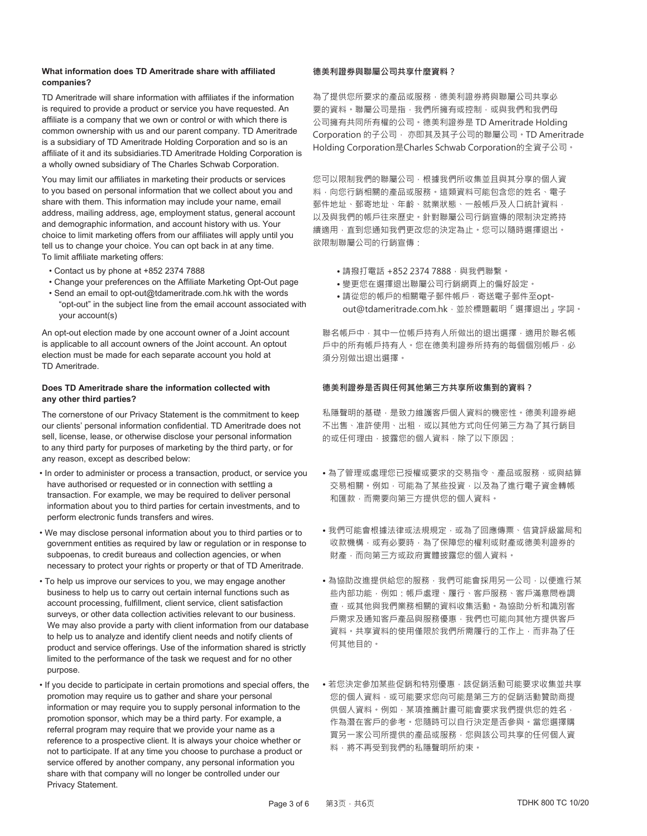#### **What information does TD Ameritrade share with affiliated companies?**

TD Ameritrade will share information with affiliates if the information is required to provide a product or service you have requested. An affiliate is a company that we own or control or with which there is common ownership with us and our parent company. TD Ameritrade is a subsidiary of TD Ameritrade Holding Corporation and so is an affiliate of it and its subsidiaries.TD Ameritrade Holding Corporation is a wholly owned subsidiary of The Charles Schwab Corporation.

You may limit our affiliates in marketing their products or services to you based on personal information that we collect about you and share with them. This information may include your name, email address, mailing address, age, employment status, general account and demographic information, and account history with us. Your choice to limit marketing offers from our affiliates will apply until you tell us to change your choice. You can opt back in at any time. To limit affiliate marketing offers:

- Contact us by phone at +852 2374 7888
- Change your preferences on the Affiliate Marketing Opt-Out page
- Send an email to opt-out@tdameritrade.com.hk with the words "opt-out" in the subject line from the email account associated with your account(s)

An opt-out election made by one account owner of a Joint account is applicable to all account owners of the Joint account. An optout election must be made for each separate account you hold at TD Ameritrade.

#### **Does TD Ameritrade share the information collected with any other third parties?**

The cornerstone of our Privacy Statement is the commitment to keep our clients' personal information confidential. TD Ameritrade does not sell, license, lease, or otherwise disclose your personal information to any third party for purposes of marketing by the third party, or for any reason, except as described below:

- In order to administer or process a transaction, product, or service you have authorised or requested or in connection with settling a transaction. For example, we may be required to deliver personal information about you to third parties for certain investments, and to perform electronic funds transfers and wires.
- We may disclose personal information about you to third parties or to government entities as required by law or regulation or in response to subpoenas, to credit bureaus and collection agencies, or when necessary to protect your rights or property or that of TD Ameritrade.
- To help us improve our services to you, we may engage another business to help us to carry out certain internal functions such as account processing, fulfillment, client service, client satisfaction surveys, or other data collection activities relevant to our business. We may also provide a party with client information from our database to help us to analyze and identify client needs and notify clients of product and service offerings. Use of the information shared is strictly limited to the performance of the task we request and for no other purpose.
- If you decide to participate in certain promotions and special offers, the promotion may require us to gather and share your personal information or may require you to supply personal information to the promotion sponsor, which may be a third party. For example, a referral program may require that we provide your name as a reference to a prospective client. It is always your choice whether or not to participate. If at any time you choose to purchase a product or service offered by another company, any personal information you share with that company will no longer be controlled under our Privacy Statement.

#### 德美利證券與聯屬公司共享什麼資料?

為了提供您所要求的產品或服務,德美利證券將與聯屬公司共享必 要的資料。聯屬公司是指,我們所擁有或控制,或與我們和我們母 公司擁有共同所有權的公司。德美利證券是 TD Ameritrade Holding Corporation 的子公司 · 亦即其及其子公司的聯屬公司 · TD Ameritrade Holding Corporation是Charles Schwab Corporation的全資子公司。

您可以限制我們的聯屬公司,根據我們所收集並且與其分享的個人資 料,向您行銷相關的產品或服務。這類資料可能包含您的姓名、電子 郵件地址、郵寄地址、年齡、就業狀態、一般帳戶及人口統計資料, 以及與我們的帳戶往來歷史。針對聯屬公司行銷宣傳的限制決定將持 續適用,直到您通知我們更改您的決定為止。您可以隨時選擇退出。 欲限制聯屬公司的行銷宣傳:

- •請撥打電話 +852 2374 7888,與我們聯繫。
- •變更您在選擇退出聯屬公司行銷網頁上的偏好設定。
- •請從您的帳戶的相關電子郵件帳戶,寄送電子郵件至optout@tdameritrade.com.hk, 並於標題載明「選擇退出」字詞。

聯名帳戶中,其中一位帳戶持有人所做出的退出選擇,適用於聯名帳 戶中的所有帳戶持有人。您在德美利證券所持有的每個個別帳戶, 必 須分別做出退出選擇。

#### 德美利證券是否與任何其他第三方共享所收集到的資料?

私隱聲明的基礎,是致力維護客戶個人資料的機密性。德美利證券絕 不出售、准許使用、出租,或以其他方式向任何第三方為了其行銷目 的或任何理由, 披露您的個人資料, 除了以下原因;

- •為了管理或處理您已授權或要求的交易指令、產品或服務,或與結算 交易相關。例如,可能為了某些投資,以及為了進行電子資金轉帳 和匯款,而需要向第三方提供您的個人資料。
- •我們可能會根據法律或法規規定,或為了回應傳票、信貸評級當局和 收款機構,或有必要時,為了保障您的權利或財產或德美利證券的 財產,而向第三方或政府實體披露您的個人資料。
- ●為協助改進提供給您的服務,我們可能會採用另一公司,以便進行某 些內部功能,例如:帳戶處理、履行、客戶服務、客戶滿意問卷調 查,或其他與我們業務相關的資料收集活動。為協助分析和識別客 戶需求及通知客戶產品與服務優惠,我們也可能向其他方提供客戶 資料。共享資料的使用僅限於我們所需履行的工作上,而非為了任 **何其他目的。**
- ●若您決定參加某些促銷和特別優惠,該促銷活動可能要求收集並共享 您的個人資料,或可能要求您向可能是第三方的促銷活動贊助商提 供個人資料·例如·某項推薦計畫可能會要求我們提供您的姓名· 作為潛在客戶的參考。您隨時可以自行決定是否參與。當您選擇購 買另一家公司所提供的產品或服務,您與該公司共享的任何個人資 料,將不再受到我們的私隱聲明所約束。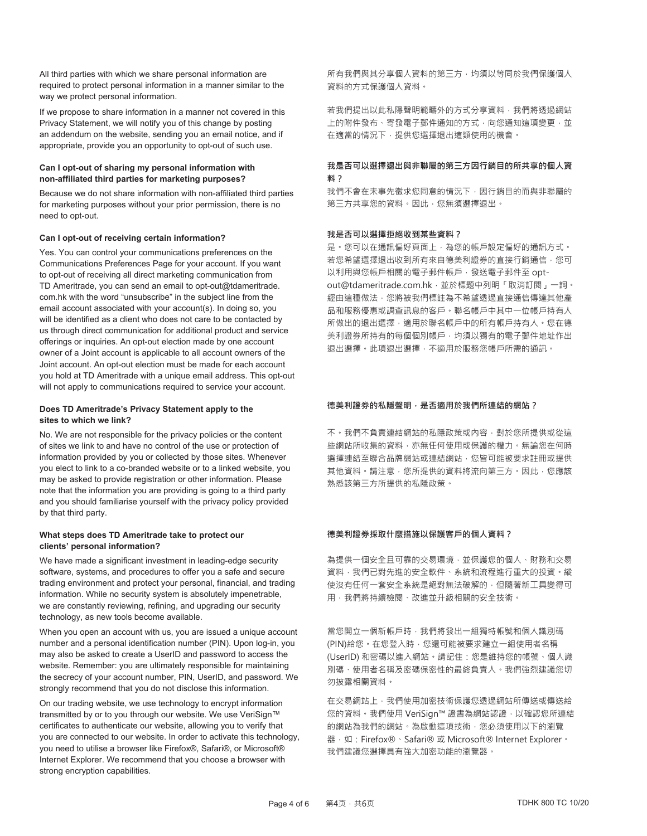All third parties with which we share personal information are required to protect personal information in a manner similar to the way we protect personal information.

If we propose to share information in a manner not covered in this Privacy Statement, we will notify you of this change by posting an addendum on the website, sending you an email notice, and if appropriate, provide you an opportunity to opt-out of such use.

#### **Can I opt-out of sharing my personal information with non-affiliated third parties for marketing purposes?**

Because we do not share information with non-affiliated third parties for marketing purposes without your prior permission, there is no need to opt-out.

#### **Can I opt-out of receiving certain information?**

Yes. You can control your communications preferences on the Communications Preferences Page for your account. If you want to opt-out of receiving all direct marketing communication from TD Ameritrade, you can send an email to opt-out@tdameritrade. com.hk with the word "unsubscribe" in the subject line from the email account associated with your account(s). In doing so, you will be identified as a client who does not care to be contacted by us through direct communication for additional product and service offerings or inquiries. An opt-out election made by one account owner of a Joint account is applicable to all account owners of the Joint account. An opt-out election must be made for each account you hold at TD Ameritrade with a unique email address. This opt-out will not apply to communications required to service your account.

#### **Does TD Ameritrade's Privacy Statement apply to the sites to which we link?**

No. We are not responsible for the privacy policies or the content of sites we link to and have no control of the use or protection of information provided by you or collected by those sites. Whenever you elect to link to a co-branded website or to a linked website, you may be asked to provide registration or other information. Please note that the information you are providing is going to a third party and you should familiarise yourself with the privacy policy provided by that third party.

#### **What steps does TD Ameritrade take to protect our clients' personal information?**

We have made a significant investment in leading-edge security software, systems, and procedures to offer you a safe and secure trading environment and protect your personal, financial, and trading information. While no security system is absolutely impenetrable, we are constantly reviewing, refining, and upgrading our security technology, as new tools become available.

When you open an account with us, you are issued a unique account number and a personal identification number (PIN). Upon log-in, you may also be asked to create a UserID and password to access the website. Remember: you are ultimately responsible for maintaining the secrecy of your account number, PIN, UserID, and password. We strongly recommend that you do not disclose this information.

On our trading website, we use technology to encrypt information transmitted by or to you through our website. We use VeriSign™ certificates to authenticate our website, allowing you to verify that you are connected to our website. In order to activate this technology, you need to utilise a browser like Firefox®, Safari®, or Microsoft® Internet Explorer. We recommend that you choose a browser with strong encryption capabilities.

所有我們與其分享個人資料的第三方,均須以等同於我們保護個人 資料的方式保護個人資料。

若我們提出以此私隱聲明範疇外的方式分享資料,我們將透過網站 上的附件發布、寄發電子郵件通知的方式,向您通知這項變更,並 在適當的情況下,提供您選擇退出這類使用的機會。

### 我是否可以選擇退出與非聯屬的第三方因行銷目的所共享的個人資 **㑗濨**

我們不會在未事先徵求您同意的情況下,因行銷目的而與非聯屬的 第三方共享您的資料。因此,您無須選擇退出。

#### 我是否可以選擇拒絕收到某些資料?

是· 您可以在通訊偏好頁面上 · 為您的帳戶設定偏好的通訊方式 · 若您希望選擇退出收到所有來自德美利證券的直接行銷通信,您可 以利用與您帳戶相關的電子郵件帳戶,發送電子郵件至 optout@tdameritrade.com.hk,並於標題中列明「取消訂閱」一詞。 經由這種做法,您將被我們標註為不希望透過直接通信傳達其他產 品和服務優惠或調杳訊息的客戶。聯名帳戶中其中一位帳戶持有人 所做出的退出選擇,滴用於聯名帳戶中的所有帳戶持有人, 您在德 美利證券所持有的每個個別帳戶,均須以獨有的電子郵件地址作出 退出選擇·此項退出選擇,不滴用於服務您帳戶所需的通訊。

#### 德美利證券的私隱聲明, 是否滴用於我們所連結的網站?

不。我們不負責連結網站的私隱政策或內容,對於您所提供或從這 些網站所收集的資料,亦無任何使用或保護的權力。無論您在何時 選擇連結至聯合品牌網站或連結網站,您皆可能被要求註冊或提供 其他資料。請注意,您所提供的資料將流向第三方。因此,您應該 熟悉該第三方所提供的私隱政策。

### 德美利證券採取什麼措施以保護客戶的個人資料?

為提供一個安全且可靠的交易環境,並保護您的個人、財務和交易 資料,我們已對先進的安全軟件、系統和流程進行重大的投資。縱 使沒有任何一套安全系統是絕對無法破解的,但隨著新工具變得可 用,我們將持續檢閱、改進並升級相關的安全技術。

當您開立一個新帳戶時,我們將發出一組獨特帳號和個人識別碼 (PIN)給您。在您登入時,您還可能被要求建立一組使用者名稱 (UserID) 和密碼以進入網站。請記住:您是維持您的帳號、個人識 別碼、使用者名稱及密碼保密性的最終負責人。我們強烈建議您切 勿披露相關資料。

在交易網站上,我們使用加密技術保護您透過網站所傳送或傳送給 您的資料。我們使用 VeriSign™ 證書為網站認證,以確認您所連結 的網站的為啟動這項技術,您必須使用以下的瀏覽 器,如: Firefox®、Safari®或 Microsoft® Internet Explorer。 我們建議您選擇具有強大加密功能的瀏覽器。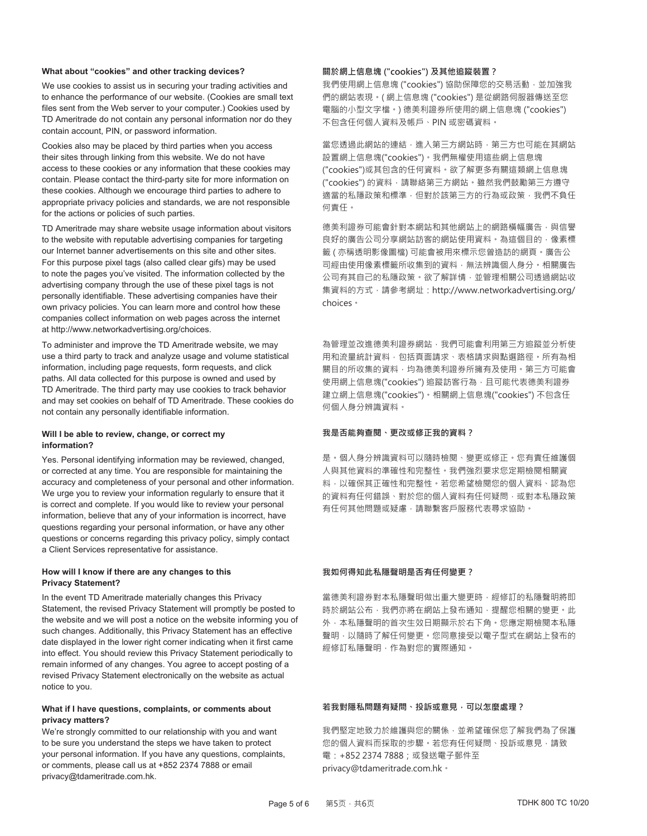#### **What about "cookies" and other tracking devices?**

We use cookies to assist us in securing your trading activities and to enhance the performance of our website. (Cookies are small text files sent from the Web server to your computer.) Cookies used by TD Ameritrade do not contain any personal information nor do they contain account, PIN, or password information.

Cookies also may be placed by third parties when you access their sites through linking from this website. We do not have access to these cookies or any information that these cookies may contain. Please contact the third-party site for more information on these cookies. Although we encourage third parties to adhere to appropriate privacy policies and standards, we are not responsible for the actions or policies of such parties.

TD Ameritrade may share website usage information about visitors to the website with reputable advertising companies for targeting our Internet banner advertisements on this site and other sites. For this purpose pixel tags (also called clear gifs) may be used to note the pages you've visited. The information collected by the advertising company through the use of these pixel tags is not personally identifiable. These advertising companies have their own privacy policies. You can learn more and control how these companies collect information on web pages across the internet at http://www.networkadvertising.org/choices.

To administer and improve the TD Ameritrade website, we may use a third party to track and analyze usage and volume statistical information, including page requests, form requests, and click paths. All data collected for this purpose is owned and used by TD Ameritrade. The third party may use cookies to track behavior and may set cookies on behalf of TD Ameritrade. These cookies do not contain any personally identifiable information.

#### **Will I be able to review, change, or correct my information?**

Yes. Personal identifying information may be reviewed, changed, or corrected at any time. You are responsible for maintaining the accuracy and completeness of your personal and other information. We urge you to review your information regularly to ensure that it is correct and complete. If you would like to review your personal information, believe that any of your information is incorrect, have questions regarding your personal information, or have any other questions or concerns regarding this privacy policy, simply contact a Client Services representative for assistance.

#### **How will I know if there are any changes to this Privacy Statement?**

In the event TD Ameritrade materially changes this Privacy Statement, the revised Privacy Statement will promptly be posted to the website and we will post a notice on the website informing you of such changes. Additionally, this Privacy Statement has an effective date displayed in the lower right corner indicating when it first came into effect. You should review this Privacy Statement periodically to remain informed of any changes. You agree to accept posting of a revised Privacy Statement electronically on the website as actual notice to you.

#### **What if I have questions, complaints, or comments about privacy matters?**

We're strongly committed to our relationship with you and want to be sure you understand the steps we have taken to protect your personal information. If you have any questions, complaints, or comments, please call us at +852 2374 7888 or email privacy@tdameritrade.com.hk.

#### 關於網上信息塊 ("cookies") 及其他追蹤裝置?

我們使用網上信息塊 ("cookies") 協助保障您的交易活動, 並加強我 們的網站表現。(網上信息塊 ("cookies")是從網路伺服器傳送至您 電腦的小型文字檔。) 德美利證券所使用的網上信息塊 ("cookies") 不包含任何個人資料及帳戶、PIN 或密碼資料。

當您透過此網站的連結,進入第三方網站時,第三方也可能在其網站 設置網上信息塊("cookies")。我們無權使用這些網上信息塊 ("cookies")或其包含的任何資料。欲了解更多有關這類網上信息塊 ("cookies") 的資料,請聯絡第三方網站。雖然我們鼓勵第三方遵守 適當的私隱政策和標準,但對於該第三方的行為或政策,我們不負任 何責任。

德美利證券可能會針對本網站和其他網站上的網路橫幅廣告,與信譽 良好的廣告公司分享網站訪客的網站使用資料。為這個目的,像素標 籤(亦稱透明影像圖檔)可能會被用來標示您曾造訪的網頁。廣告公 司經由使用像素標籤所收集到的資料,無法辨識個人身分。相關廣告 公司有其自己的私隱政策。欲了解詳情,並管理相關公司透過網站收 集資料的方式, 請參考網址: http://www.networkadvertising.org/ choices .

為管理並改進德美利證券網站,我們可能會利用第三方追蹤並分析使 用和流量統計資料,包括頁面請求、表格請求與點選路徑。所有為相 關目的所收集的資料,均為德美利證券所擁有及使用。第三方可能會 使用網上信息塊("cookies")追蹤訪客行為,且可能代表德美利證券 建立網上信息塊("cookies")。相關網上信息塊("cookies") 不包含任 何個人身分辨識資料。

#### 我是否能夠查閣、更改或修正我的資料?

是。個人身分辨識資料可以隨時檢閱、變更或修正。您有責任維護個 人與其他資料的準確性和完整性。我們強烈要求您定期檢閱相關資 料,以確保其正確性和完整性。若您希望檢閱您的個人資料、認為您 的資料有任何錯誤、對於您的個人資料有任何疑問,或對本私隱政策 有任何其他問題或疑慮,請聯繫客戶服務代表尋求協助。

#### 我如何得知此私隱聲明是否有任何變更?

當德美利證券對本私隱聲明做出重大變更時,經修訂的私隱聲明將即 時於網站公布,我們亦將在網站上發布通知,提醒您相關的變更。此 外,本私隱聲明的首次生效日期顯示於右下角。您應定期檢閱本私隱 聲明,以隨時了解任何變更。您同意接受以電子型式在網站上發布的 經修訂私隱聲明,作為對您的實際通知。

#### 若我對隱私問題有疑問、投訴或意見, 可以怎麼處理?

我們堅定地致力於維護與您的關係,並希望確保您了解我們為了保護 您的個人資料而採取的步驟。若您有任何疑問、投訴或意見,請致 電: +852 2374 7888;或發送電子郵件至 privacy@tdameritrade.com.hk ·